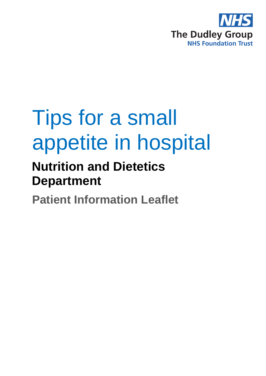

# Tips for a small appetite in hospital

# **Nutrition and Dietetics Department**

**Patient Information Leaflet**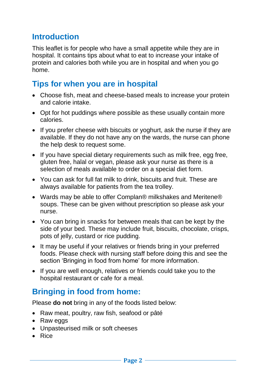# **Introduction**

This leaflet is for people who have a small appetite while they are in hospital. It contains tips about what to eat to increase your intake of protein and calories both while you are in hospital and when you go home.

# **Tips for when you are in hospital**

- Choose fish, meat and cheese-based meals to increase your protein and calorie intake.
- Opt for hot puddings where possible as these usually contain more calories.
- If you prefer cheese with biscuits or yoghurt, ask the nurse if they are available. If they do not have any on the wards, the nurse can phone the help desk to request some.
- If you have special dietary requirements such as milk free, egg free, gluten free, halal or vegan, please ask your nurse as there is a selection of meals available to order on a special diet form.
- You can ask for full fat milk to drink, biscuits and fruit. These are always available for patients from the tea trolley.
- Wards may be able to offer Complan® milkshakes and Meritene® soups. These can be given without prescription so please ask your nurse.
- You can bring in snacks for between meals that can be kept by the side of your bed. These may include fruit, biscuits, chocolate, crisps, pots of jelly, custard or rice pudding.
- It may be useful if your relatives or friends bring in your preferred foods. Please check with nursing staff before doing this and see the section 'Bringing in food from home' for more information.
- If you are well enough, relatives or friends could take you to the hospital restaurant or cafe for a meal.

# **Bringing in food from home:**

Please **do not** bring in any of the foods listed below:

- Raw meat, poultry, raw fish, seafood or pâté
- Raw eggs
- Unpasteurised milk or soft cheeses
- Rice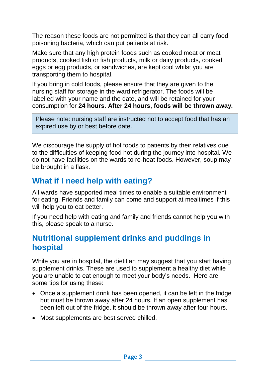The reason these foods are not permitted is that they can all carry food poisoning bacteria, which can put patients at risk.

Make sure that any high protein foods such as cooked meat or meat products, cooked fish or fish products, milk or dairy products, cooked eggs or egg products, or sandwiches, are kept cool whilst you are transporting them to hospital.

If you bring in cold foods, please ensure that they are given to the nursing staff for storage in the ward refrigerator. The foods will be labelled with your name and the date, and will be retained for your consumption for **24 hours. After 24 hours, foods will be thrown away.**

Please note: nursing staff are instructed not to accept food that has an expired use by or best before date.

We discourage the supply of hot foods to patients by their relatives due to the difficulties of keeping food hot during the journey into hospital. We do not have facilities on the wards to re-heat foods. However, soup may be brought in a flask.

# **What if I need help with eating?**

All wards have supported meal times to enable a suitable environment for eating. Friends and family can come and support at mealtimes if this will help you to eat better.

If you need help with eating and family and friends cannot help you with this, please speak to a nurse.

#### **Nutritional supplement drinks and puddings in hospital**

While you are in hospital, the dietitian may suggest that you start having supplement drinks. These are used to supplement a healthy diet while you are unable to eat enough to meet your body's needs. Here are some tips for using these:

- Once a supplement drink has been opened, it can be left in the fridge but must be thrown away after 24 hours. If an open supplement has been left out of the fridge, it should be thrown away after four hours.
- Most supplements are best served chilled.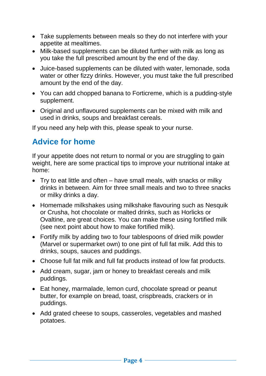- Take supplements between meals so they do not interfere with your appetite at mealtimes.
- Milk-based supplements can be diluted further with milk as long as you take the full prescribed amount by the end of the day.
- Juice-based supplements can be diluted with water, lemonade, soda water or other fizzy drinks. However, you must take the full prescribed amount by the end of the day.
- You can add chopped banana to Forticreme, which is a pudding-style supplement.
- Original and unflavoured supplements can be mixed with milk and used in drinks, soups and breakfast cereals.

If you need any help with this, please speak to your nurse.

#### **Advice for home**

If your appetite does not return to normal or you are struggling to gain weight, here are some practical tips to improve your nutritional intake at home:

- Try to eat little and often have small meals, with snacks or milky drinks in between. Aim for three small meals and two to three snacks or milky drinks a day.
- Homemade milkshakes using milkshake flavouring such as Nesquik or Crusha, hot chocolate or malted drinks, such as Horlicks or Ovaltine, are great choices. You can make these using fortified milk (see next point about how to make fortified milk).
- Fortify milk by adding two to four tablespoons of dried milk powder (Marvel or supermarket own) to one pint of full fat milk. Add this to drinks, soups, sauces and puddings.
- Choose full fat milk and full fat products instead of low fat products.
- Add cream, sugar, jam or honey to breakfast cereals and milk puddings.
- Eat honey, marmalade, lemon curd, chocolate spread or peanut butter, for example on bread, toast, crispbreads, crackers or in puddings.
- Add grated cheese to soups, casseroles, vegetables and mashed potatoes.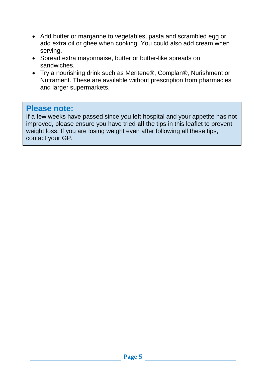- Add butter or margarine to vegetables, pasta and scrambled egg or add extra oil or ghee when cooking. You could also add cream when serving.
- Spread extra mayonnaise, butter or butter-like spreads on sandwiches.
- Try a nourishing drink such as Meritene®, Complan®, Nurishment or Nutrament. These are available without prescription from pharmacies and larger supermarkets.

#### **Please note:**

If a few weeks have passed since you left hospital and your appetite has not improved, please ensure you have tried **all** the tips in this leaflet to prevent weight loss. If you are losing weight even after following all these tips, contact your GP.